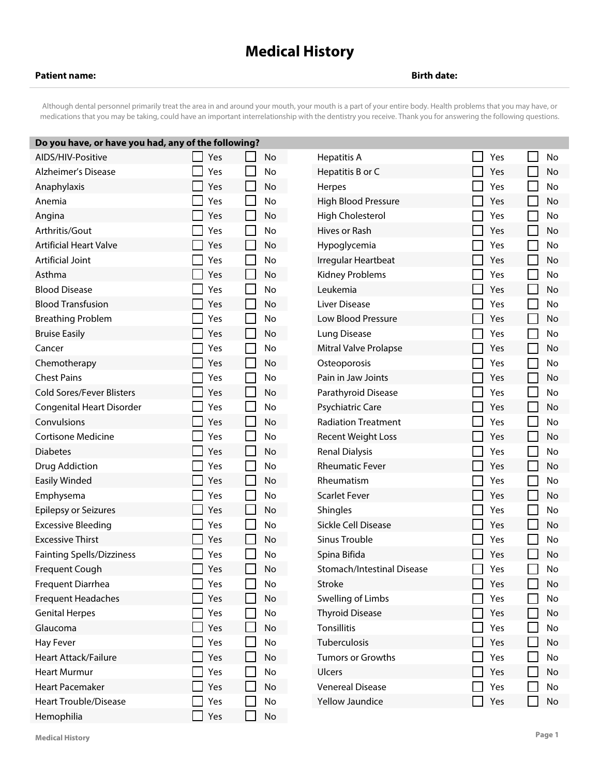## **Medical History**

## **Patient name: Birth date:**

Although dental personnel primarily treat the area in and around your mouth, your mouth is a part of your entire body. Health problems that you may have, or medications that you may be taking, could have an important interrelationship with the dentistry you receive. Thank you for answering the following questions.

| Do you have, or have you had, any of the following? |  |     |                |    |                              |  |     |  |    |  |  |  |
|-----------------------------------------------------|--|-----|----------------|----|------------------------------|--|-----|--|----|--|--|--|
| AIDS/HIV-Positive                                   |  | Yes |                | No | <b>Hepatitis A</b>           |  | Yes |  | No |  |  |  |
| <b>Alzheimer's Disease</b>                          |  | Yes |                | No | Hepatitis B or C             |  | Yes |  | No |  |  |  |
| Anaphylaxis                                         |  | Yes | <b>Tale</b>    | No | Herpes                       |  | Yes |  | No |  |  |  |
| Anemia                                              |  | Yes | $\mathbf{L}$   | No | <b>High Blood Pressure</b>   |  | Yes |  | No |  |  |  |
| Angina                                              |  | Yes | П              | No | High Cholesterol             |  | Yes |  | No |  |  |  |
| Arthritis/Gout                                      |  | Yes | $\mathbf{I}$   | No | Hives or Rash                |  | Yes |  | No |  |  |  |
| <b>Artificial Heart Valve</b>                       |  | Yes | L              | No | Hypoglycemia                 |  | Yes |  | No |  |  |  |
| Artificial Joint                                    |  | Yes | $\mathsf{L}$   | No | Irregular Heartbeat          |  | Yes |  | No |  |  |  |
| Asthma                                              |  | Yes | $\Box$         | No | <b>Kidney Problems</b>       |  | Yes |  | No |  |  |  |
| <b>Blood Disease</b>                                |  | Yes | $\mathbf{L}$   | No | Leukemia                     |  | Yes |  | No |  |  |  |
| <b>Blood Transfusion</b>                            |  | Yes | $\Box$         | No | Liver Disease                |  | Yes |  | No |  |  |  |
| <b>Breathing Problem</b>                            |  | Yes | $\mathbf{L}$   | No | Low Blood Pressure           |  | Yes |  | No |  |  |  |
| <b>Bruise Easily</b>                                |  | Yes | $\mathsf{L}$   | No | Lung Disease                 |  | Yes |  | No |  |  |  |
| Cancer                                              |  | Yes | $\Box$         | No | <b>Mitral Valve Prolapse</b> |  | Yes |  | No |  |  |  |
| Chemotherapy                                        |  | Yes | L              | No | Osteoporosis                 |  | Yes |  | No |  |  |  |
| <b>Chest Pains</b>                                  |  | Yes | L              | No | Pain in Jaw Joints           |  | Yes |  | No |  |  |  |
| <b>Cold Sores/Fever Blisters</b>                    |  | Yes | $\mathbb{R}^n$ | No | Parathyroid Disease          |  | Yes |  | No |  |  |  |
| <b>Congenital Heart Disorder</b>                    |  | Yes | $\mathbf{L}$   | No | Psychiatric Care             |  | Yes |  | No |  |  |  |
| Convulsions                                         |  | Yes | $\mathsf{L}$   | No | <b>Radiation Treatment</b>   |  | Yes |  | No |  |  |  |
| Cortisone Medicine                                  |  | Yes | $\mathbf{L}$   | No | <b>Recent Weight Loss</b>    |  | Yes |  | No |  |  |  |
| <b>Diabetes</b>                                     |  | Yes | $\Box$         | No | <b>Renal Dialysis</b>        |  | Yes |  | No |  |  |  |
| Drug Addiction                                      |  | Yes | L              | No | <b>Rheumatic Fever</b>       |  | Yes |  | No |  |  |  |
| Easily Winded                                       |  | Yes | L              | No | Rheumatism                   |  | Yes |  | No |  |  |  |
| Emphysema                                           |  | Yes | $\mathbf{I}$   | No | <b>Scarlet Fever</b>         |  | Yes |  | No |  |  |  |
| <b>Epilepsy or Seizures</b>                         |  | Yes | $\Box$         | No | Shingles                     |  | Yes |  | No |  |  |  |
| <b>Excessive Bleeding</b>                           |  | Yes | $\mathbf{I}$   | No | Sickle Cell Disease          |  | Yes |  | No |  |  |  |
| <b>Excessive Thirst</b>                             |  | Yes | $\mathsf{L}$   | No | Sinus Trouble                |  | Yes |  | No |  |  |  |
| <b>Fainting Spells/Dizziness</b>                    |  | Yes |                | No | Spina Bifida                 |  | Yes |  | No |  |  |  |
| Frequent Cough                                      |  | Yes | L              | No | Stomach/Intestinal Disease   |  | Yes |  | No |  |  |  |
| Frequent Diarrhea                                   |  | Yes |                | No | Stroke                       |  | Yes |  | No |  |  |  |
| <b>Frequent Headaches</b>                           |  | Yes |                | No | Swelling of Limbs            |  | Yes |  | No |  |  |  |
| <b>Genital Herpes</b>                               |  | Yes |                | No | <b>Thyroid Disease</b>       |  | Yes |  | No |  |  |  |
| Glaucoma                                            |  | Yes |                | No | Tonsillitis                  |  | Yes |  | No |  |  |  |
| Hay Fever                                           |  | Yes | $\mathsf{L}$   | No | Tuberculosis                 |  | Yes |  | No |  |  |  |
| <b>Heart Attack/Failure</b>                         |  | Yes | $\Box$         | No | Tumors or Growths            |  | Yes |  | No |  |  |  |
| <b>Heart Murmur</b>                                 |  | Yes |                | No | <b>Ulcers</b>                |  | Yes |  | No |  |  |  |
| <b>Heart Pacemaker</b>                              |  | Yes |                | No | <b>Venereal Disease</b>      |  | Yes |  | No |  |  |  |
| <b>Heart Trouble/Disease</b>                        |  | Yes |                | No | Yellow Jaundice              |  | Yes |  | No |  |  |  |
| Hemophilia                                          |  | Yes |                | No |                              |  |     |  |    |  |  |  |